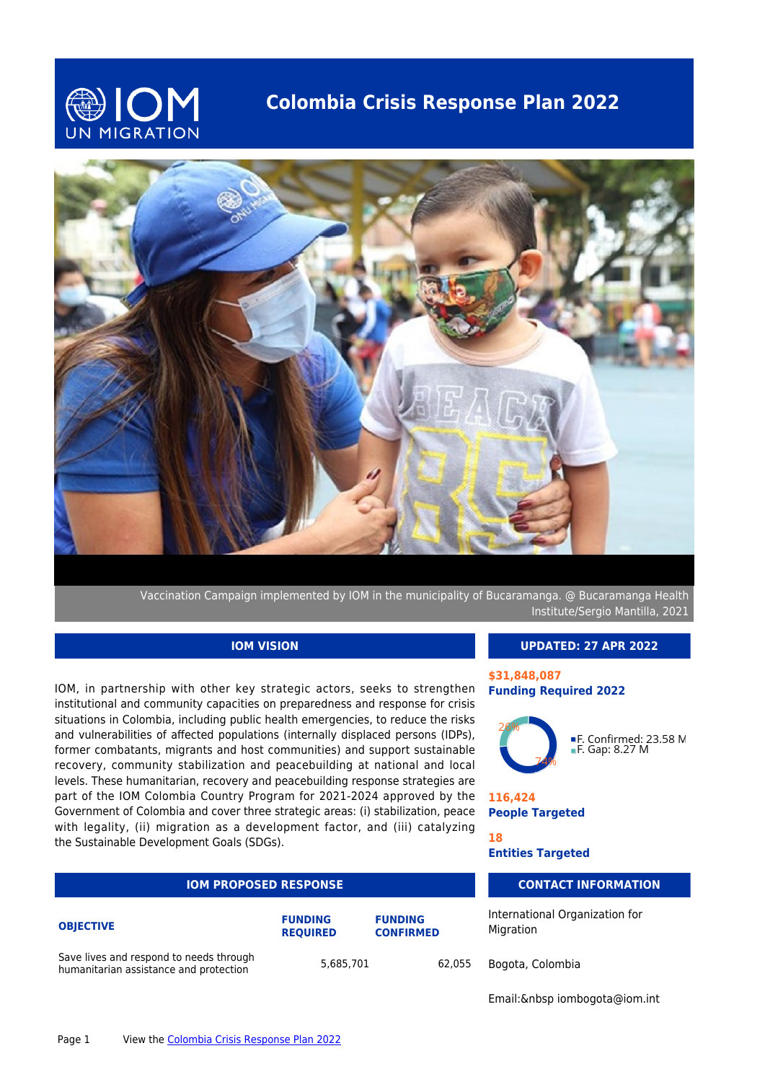

## **Colombia Crisis Response Plan 2022**



Vaccination Campaign implemented by IOM in the municipality of Bucaramanga. @ Bucaramanga Health Institute/Sergio Mantilla, 2021

### **IOM VISION**

IOM, in partnership with other key strategic actors, seeks to strengthen institutional and community capacities on preparedness and response for crisis situations in Colombia, including public health emergencies, to reduce the risks and vulnerabilities of affected populations (internally displaced persons (IDPs), former combatants, migrants and host communities) and support sustainable recovery, community stabilization and peacebuilding at national and local levels. These humanitarian, recovery and peacebuilding response strategies are part of the IOM Colombia Country Program for 2021-2024 approved by the Government of Colombia and cover three strategic areas: (i) stabilization, peace with legality, (ii) migration as a development factor, and (iii) catalyzing the Sustainable Development Goals (SDGs).

| <b>IOM PROPOSED RESPONSE</b>                                                      | <b>CONTACT</b>                    |                                    |                                |
|-----------------------------------------------------------------------------------|-----------------------------------|------------------------------------|--------------------------------|
| <b>OBJECTIVE</b>                                                                  | <b>FUNDING</b><br><b>REOUIRED</b> | <b>FUNDING</b><br><b>CONFIRMED</b> | International Org<br>Migration |
| Save lives and respond to needs through<br>humanitarian assistance and protection | 5,685,701                         | 62.055                             | Bogota, Colombia               |

#### **UPDATED: 27 APR 2022**

#### **\$31,848,087 Funding Required 2022**



■F. Confirmed: 23.58 M<br>■F. Gap: 8.27 M

**116,424 People Targeted**

**18**

**Entities Targeted**

### **INFORMATION**

ganization for

Email: & nbsp iombogota@iom.int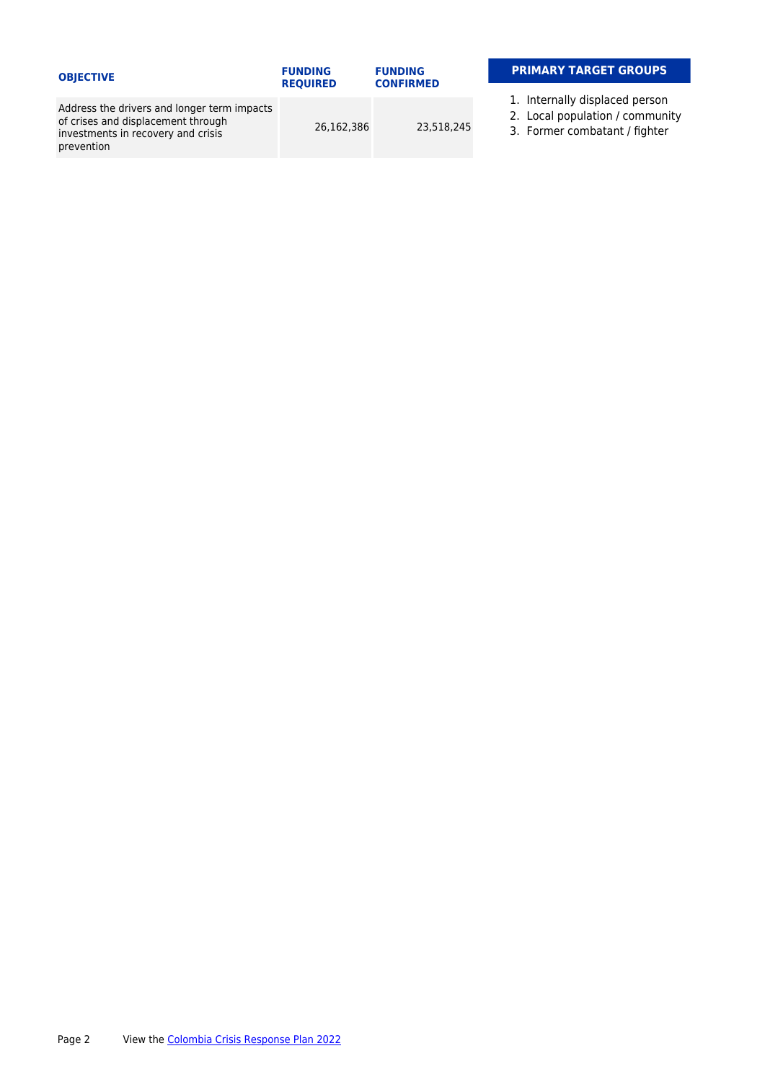| <b>OBJECTIVE</b>                                                                                                                      | <b>FUNDING</b><br><b>REOUIRED</b> | <b>FUNDING</b><br><b>CONFIRMED</b> | <b>PRIMARY TARGET</b>                                               |
|---------------------------------------------------------------------------------------------------------------------------------------|-----------------------------------|------------------------------------|---------------------------------------------------------------------|
|                                                                                                                                       |                                   |                                    |                                                                     |
| Address the drivers and longer term impacts<br>of crises and displacement through<br>investments in recovery and crisis<br>prevention | 26.162.386                        | 23,518,245                         | 1. Internally displace<br>2. Local population<br>3. Former combatan |

#### **GROUPS**

- 1. Internally displaced person
- 2. Local population / community
- nt / fighter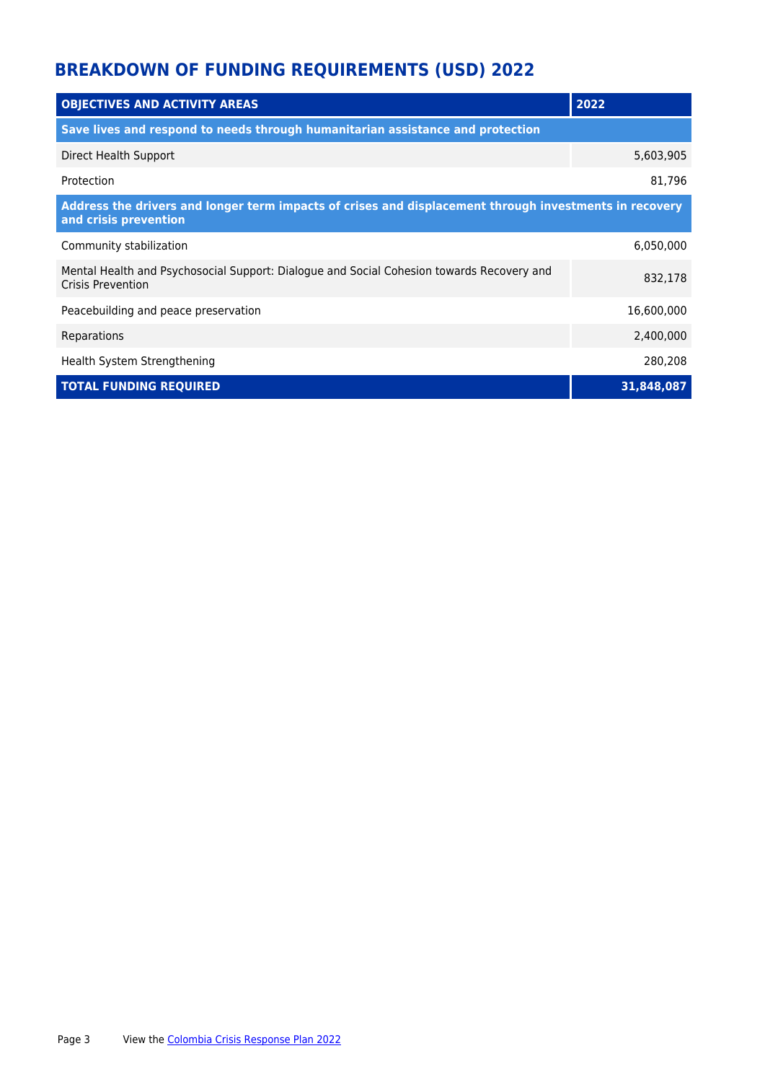# **BREAKDOWN OF FUNDING REQUIREMENTS (USD) 2022**

| <b>OBJECTIVES AND ACTIVITY AREAS</b>                                                                                            | 2022       |  |  |  |
|---------------------------------------------------------------------------------------------------------------------------------|------------|--|--|--|
| Save lives and respond to needs through humanitarian assistance and protection                                                  |            |  |  |  |
| Direct Health Support                                                                                                           | 5,603,905  |  |  |  |
| Protection                                                                                                                      | 81,796     |  |  |  |
| Address the drivers and longer term impacts of crises and displacement through investments in recovery<br>and crisis prevention |            |  |  |  |
| Community stabilization                                                                                                         | 6,050,000  |  |  |  |
| Mental Health and Psychosocial Support: Dialogue and Social Cohesion towards Recovery and<br>Crisis Prevention                  | 832,178    |  |  |  |
| Peacebuilding and peace preservation                                                                                            | 16,600,000 |  |  |  |
| Reparations                                                                                                                     | 2,400,000  |  |  |  |
| Health System Strengthening                                                                                                     | 280,208    |  |  |  |
| <b>TOTAL FUNDING REQUIRED</b>                                                                                                   | 31,848,087 |  |  |  |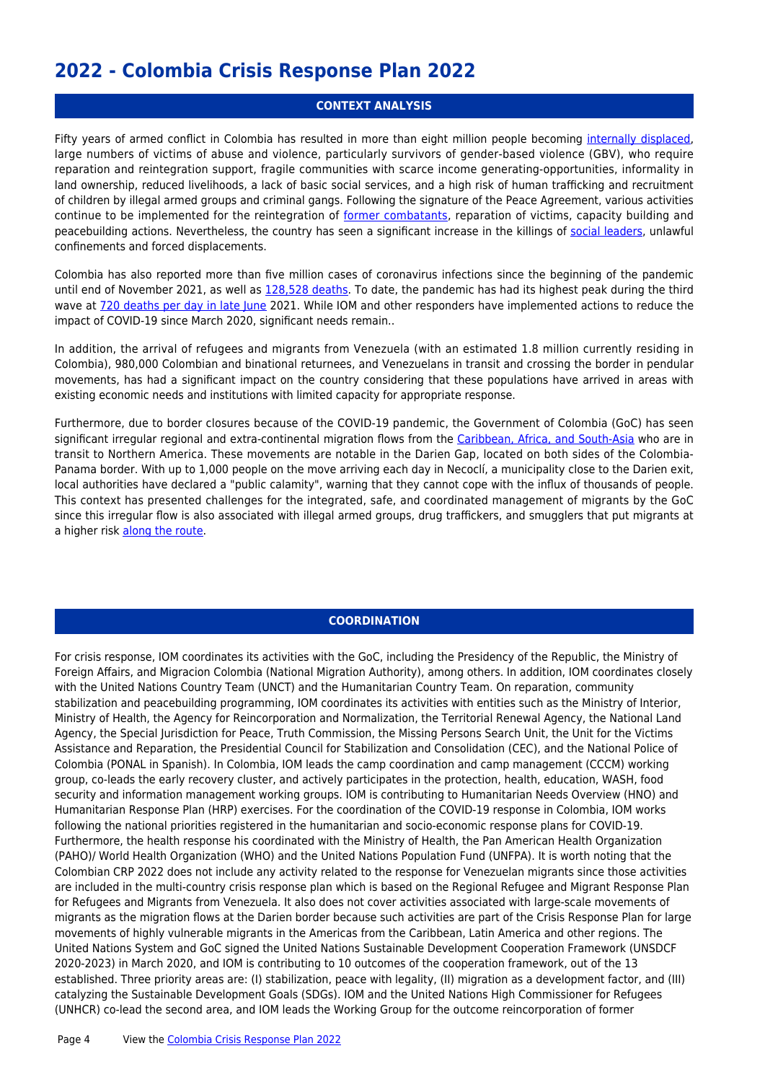## **2022 - Colombia Crisis Response Plan 2022**

#### **CONTEXT ANALYSIS**

Fifty years of armed conflict in Colombia has resulted in more than eight million people becoming [internally displaced](https://www.unidadvictimas.gov.co/es/registro-unico-de-victimas-ruv/37394), large numbers of victims of abuse and violence, particularly survivors of gender-based violence (GBV), who require reparation and reintegration support, fragile communities with scarce income generating-opportunities, informality in land ownership, reduced livelihoods, a lack of basic social services, and a high risk of human trafficking and recruitment of children by illegal armed groups and criminal gangs. Following the signature of the Peace Agreement, various activities continue to be implemented for the reintegration of [former combatants,](http://www.reincorporacion.gov.co/es/agencia/Paginas/ARN-en-cifras.aspx) reparation of victims, capacity building and peacebuilding actions. Nevertheless, the country has seen a significant increase in the killings of [social leaders](https://www.defensoria.gov.co/es/nube/comunicados/10368/Defensor%C3%ADa-del-Pueblo-presenta-reporte-de-conductas-vulneratorias-contra-l%C3%ADderes-sociales-durante-el-primer-semestre-de-2021-l%C3%ADderes-sociales-Defensor%C3%ADa-informe.htm), unlawful confinements and forced displacements.

Colombia has also reported more than five million cases of coronavirus infections since the beginning of the pandemic until end of November 2021, as well as [128,528 deaths.](https://www.ins.gov.co/Direcciones/ONS/modelos-covid-19) To date, the pandemic has had its highest peak during the third wave at [720 deaths per day in late June](https://covid19.who.int/region/amro/country/co) 2021. While IOM and other responders have implemented actions to reduce the impact of COVID-19 since March 2020, significant needs remain..

In addition, the arrival of refugees and migrants from Venezuela (with an estimated 1.8 million currently residing in Colombia), 980,000 Colombian and binational returnees, and Venezuelans in transit and crossing the border in pendular movements, has had a significant impact on the country considering that these populations have arrived in areas with existing economic needs and institutions with limited capacity for appropriate response.

Furthermore, due to border closures because of the COVID-19 pandemic, the Government of Colombia (GoC) has seen significant irregular regional and extra-continental migration flows from the [Caribbean, Africa, and South-Asia](https://www.eltiempo.com/justicia/investigacion/migracion-ya-no-son-los-venezolanos-los-que-mas-pasan-por-colombia-614717 ) who are in transit to Northern America. These movements are notable in the Darien Gap, located on both sides of the Colombia-Panama border. With up to 1,000 people on the move arriving each day in Necoclí, a municipality close to the Darien exit, local authorities have declared a "public calamity", warning that they cannot cope with the influx of thousands of people. This context has presented challenges for the integrated, safe, and coordinated management of migrants by the GoC since this irregular flow is also associated with illegal armed groups, drug traffickers, and smugglers that put migrants at a higher risk [along the route](https://www.eltiempo.com/justicia/investigacion/migracion-ya-no-son-los-venezolanos-los-que-mas-pasan-por-colombia-614717 ).

#### **COORDINATION**

For crisis response, IOM coordinates its activities with the GoC, including the Presidency of the Republic, the Ministry of Foreign Affairs, and Migracion Colombia (National Migration Authority), among others. In addition, IOM coordinates closely with the United Nations Country Team (UNCT) and the Humanitarian Country Team. On reparation, community stabilization and peacebuilding programming, IOM coordinates its activities with entities such as the Ministry of Interior, Ministry of Health, the Agency for Reincorporation and Normalization, the Territorial Renewal Agency, the National Land Agency, the Special Jurisdiction for Peace, Truth Commission, the Missing Persons Search Unit, the Unit for the Victims Assistance and Reparation, the Presidential Council for Stabilization and Consolidation (CEC), and the National Police of Colombia (PONAL in Spanish). In Colombia, IOM leads the camp coordination and camp management (CCCM) working group, co-leads the early recovery cluster, and actively participates in the protection, health, education, WASH, food security and information management working groups. IOM is contributing to Humanitarian Needs Overview (HNO) and Humanitarian Response Plan (HRP) exercises. For the coordination of the COVID-19 response in Colombia, IOM works following the national priorities registered in the humanitarian and socio-economic response plans for COVID-19. Furthermore, the health response his coordinated with the Ministry of Health, the Pan American Health Organization (PAHO)/ World Health Organization (WHO) and the United Nations Population Fund (UNFPA). It is worth noting that the Colombian CRP 2022 does not include any activity related to the response for Venezuelan migrants since those activities are included in the multi-country crisis response plan which is based on the Regional Refugee and Migrant Response Plan for Refugees and Migrants from Venezuela. It also does not cover activities associated with large-scale movements of migrants as the migration flows at the Darien border because such activities are part of the Crisis Response Plan for large movements of highly vulnerable migrants in the Americas from the Caribbean, Latin America and other regions. The United Nations System and GoC signed the United Nations Sustainable Development Cooperation Framework (UNSDCF 2020-2023) in March 2020, and IOM is contributing to 10 outcomes of the cooperation framework, out of the 13 established. Three priority areas are: (I) stabilization, peace with legality, (II) migration as a development factor, and (III) catalyzing the Sustainable Development Goals (SDGs). IOM and the United Nations High Commissioner for Refugees (UNHCR) co-lead the second area, and IOM leads the Working Group for the outcome reincorporation of former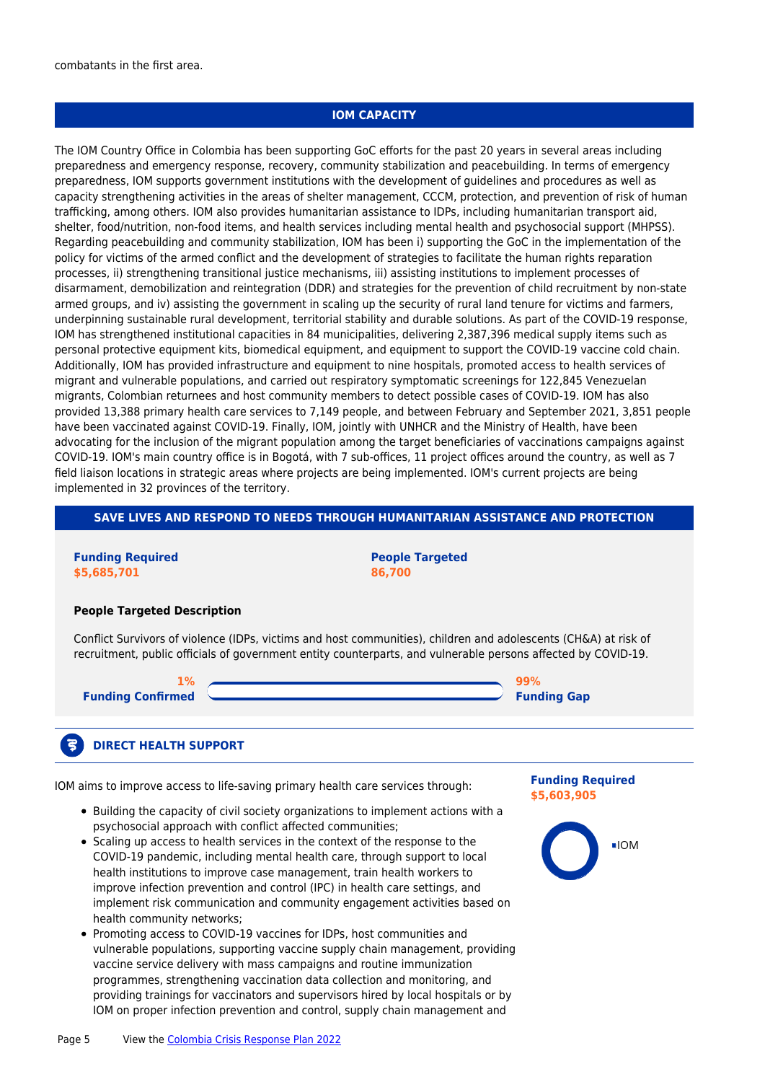combatants in the first area.

#### **IOM CAPACITY**

The IOM Country Office in Colombia has been supporting GoC efforts for the past 20 years in several areas including preparedness and emergency response, recovery, community stabilization and peacebuilding. In terms of emergency preparedness, IOM supports government institutions with the development of guidelines and procedures as well as capacity strengthening activities in the areas of shelter management, CCCM, protection, and prevention of risk of human trafficking, among others. IOM also provides humanitarian assistance to IDPs, including humanitarian transport aid, shelter, food/nutrition, non-food items, and health services including mental health and psychosocial support (MHPSS). Regarding peacebuilding and community stabilization, IOM has been i) supporting the GoC in the implementation of the policy for victims of the armed conflict and the development of strategies to facilitate the human rights reparation processes, ii) strengthening transitional justice mechanisms, iii) assisting institutions to implement processes of disarmament, demobilization and reintegration (DDR) and strategies for the prevention of child recruitment by non-state armed groups, and iv) assisting the government in scaling up the security of rural land tenure for victims and farmers, underpinning sustainable rural development, territorial stability and durable solutions. As part of the COVID-19 response, IOM has strengthened institutional capacities in 84 municipalities, delivering 2,387,396 medical supply items such as personal protective equipment kits, biomedical equipment, and equipment to support the COVID-19 vaccine cold chain. Additionally, IOM has provided infrastructure and equipment to nine hospitals, promoted access to health services of migrant and vulnerable populations, and carried out respiratory symptomatic screenings for 122,845 Venezuelan migrants, Colombian returnees and host community members to detect possible cases of COVID-19. IOM has also provided 13,388 primary health care services to 7,149 people, and between February and September 2021, 3,851 people have been vaccinated against COVID-19. Finally, IOM, jointly with UNHCR and the Ministry of Health, have been advocating for the inclusion of the migrant population among the target beneficiaries of vaccinations campaigns against COVID-19. IOM's main country office is in Bogotá, with 7 sub-offices, 11 project offices around the country, as well as 7 field liaison locations in strategic areas where projects are being implemented. IOM's current projects are being implemented in 32 provinces of the territory.

#### **SAVE LIVES AND RESPOND TO NEEDS THROUGH HUMANITARIAN ASSISTANCE AND PROTECTION**

**Funding Required \$5,685,701**

3

**People Targeted 86,700**

#### **People Targeted Description**

Conflict Survivors of violence (IDPs, victims and host communities), children and adolescents (CH&A) at risk of recruitment, public officials of government entity counterparts, and vulnerable persons affected by COVID-19.

| $1\%$                    |                    |
|--------------------------|--------------------|
| <b>Funding Confirmed</b> | <b>Funding Gap</b> |

#### **DIRECT HEALTH SUPPORT**

IOM aims to improve access to life-saving primary health care services through:

- Building the capacity of civil society organizations to implement actions with a psychosocial approach with conflict affected communities;
- Scaling up access to health services in the context of the response to the COVID-19 pandemic, including mental health care, through support to local health institutions to improve case management, train health workers to improve infection prevention and control (IPC) in health care settings, and implement risk communication and community engagement activities based on health community networks;
- Promoting access to COVID-19 vaccines for IDPs, host communities and vulnerable populations, supporting vaccine supply chain management, providing vaccine service delivery with mass campaigns and routine immunization programmes, strengthening vaccination data collection and monitoring, and providing trainings for vaccinators and supervisors hired by local hospitals or by IOM on proper infection prevention and control, supply chain management and

#### **Funding Required \$5,603,905**

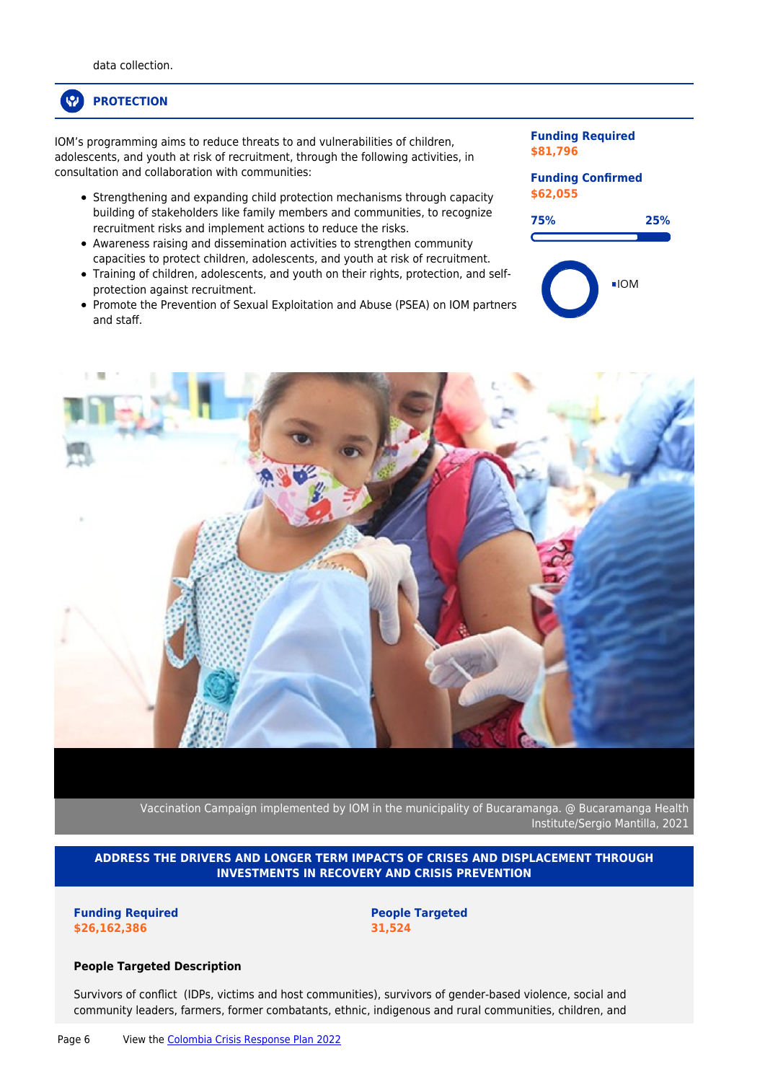## **PROTECTION**

IOM's programming aims to reduce threats to and vulnerabilities of children, adolescents, and youth at risk of recruitment, through the following activities, in consultation and collaboration with communities:

- Strengthening and expanding child protection mechanisms through capacity building of stakeholders like family members and communities, to recognize recruitment risks and implement actions to reduce the risks.
- Awareness raising and dissemination activities to strengthen community capacities to protect children, adolescents, and youth at risk of recruitment.
- Training of children, adolescents, and youth on their rights, protection, and selfprotection against recruitment.
- Promote the Prevention of Sexual Exploitation and Abuse (PSEA) on IOM partners and staff.

#### **Funding Required \$81,796**

### **Funding Confirmed \$62,055**





Vaccination Campaign implemented by IOM in the municipality of Bucaramanga. @ Bucaramanga Health Institute/Sergio Mantilla, 2021

**ADDRESS THE DRIVERS AND LONGER TERM IMPACTS OF CRISES AND DISPLACEMENT THROUGH INVESTMENTS IN RECOVERY AND CRISIS PREVENTION**

**Funding Required \$26,162,386**

**People Targeted 31,524**

#### **People Targeted Description**

Survivors of conflict (IDPs, victims and host communities), survivors of gender-based violence, social and community leaders, farmers, former combatants, ethnic, indigenous and rural communities, children, and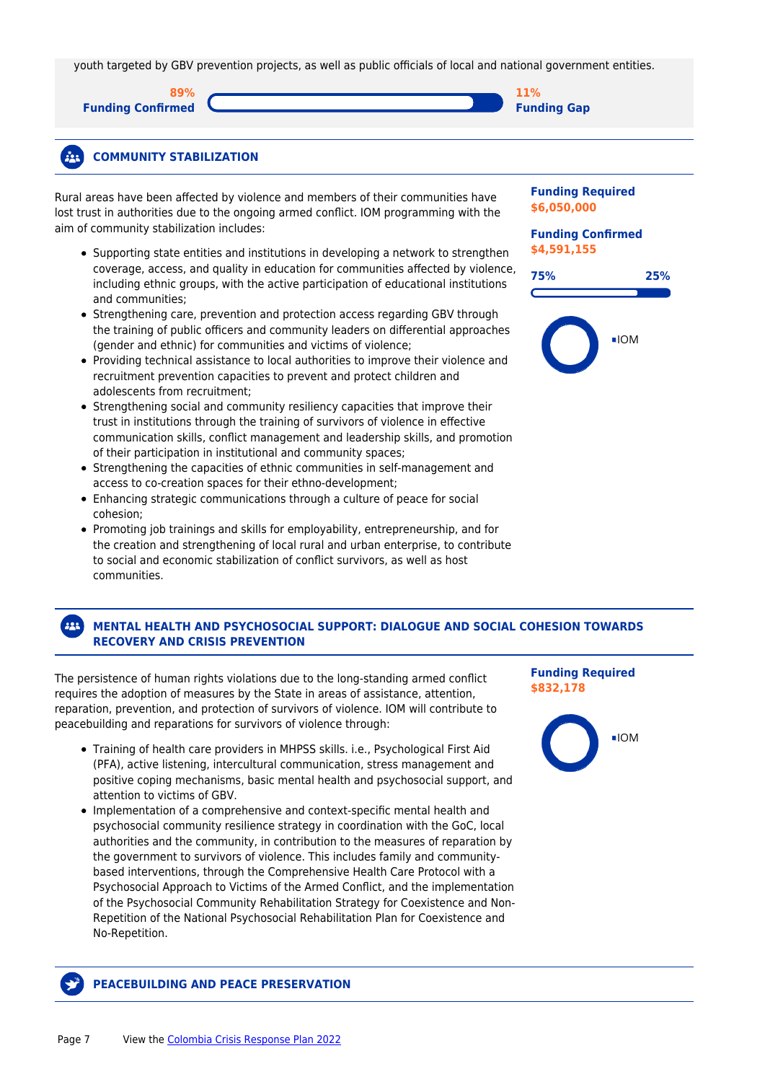youth targeted by GBV prevention projects, as well as public officials of local and national government entities.

**89% Funding Confirmed**

**11% Funding Gap**



Rural areas have been affected by violence and members of their communities have lost trust in authorities due to the ongoing armed conflict. IOM programming with the aim of community stabilization includes:

- Supporting state entities and institutions in developing a network to strengthen coverage, access, and quality in education for communities affected by violence, including ethnic groups, with the active participation of educational institutions and communities;
- Strengthening care, prevention and protection access regarding GBV through the training of public officers and community leaders on differential approaches (gender and ethnic) for communities and victims of violence;
- Providing technical assistance to local authorities to improve their violence and recruitment prevention capacities to prevent and protect children and adolescents from recruitment;
- Strengthening social and community resiliency capacities that improve their trust in institutions through the training of survivors of violence in effective communication skills, conflict management and leadership skills, and promotion of their participation in institutional and community spaces;
- Strengthening the capacities of ethnic communities in self-management and access to co-creation spaces for their ethno-development;
- Enhancing strategic communications through a culture of peace for social cohesion;
- Promoting job trainings and skills for employability, entrepreneurship, and for the creation and strengthening of local rural and urban enterprise, to contribute to social and economic stabilization of conflict survivors, as well as host communities.

#### **Funding Required \$6,050,000**

#### **Funding Confirmed \$4,591,155**



#### 222 **MENTAL HEALTH AND PSYCHOSOCIAL SUPPORT: DIALOGUE AND SOCIAL COHESION TOWARDS RECOVERY AND CRISIS PREVENTION**

The persistence of human rights violations due to the long-standing armed conflict requires the adoption of measures by the State in areas of assistance, attention, reparation, prevention, and protection of survivors of violence. IOM will contribute to peacebuilding and reparations for survivors of violence through:

- Training of health care providers in MHPSS skills. i.e., Psychological First Aid (PFA), active listening, intercultural communication, stress management and positive coping mechanisms, basic mental health and psychosocial support, and attention to victims of GBV.
- Implementation of a comprehensive and context-specific mental health and psychosocial community resilience strategy in coordination with the GoC, local authorities and the community, in contribution to the measures of reparation by the government to survivors of violence. This includes family and communitybased interventions, through the Comprehensive Health Care Protocol with a Psychosocial Approach to Victims of the Armed Conflict, and the implementation of the Psychosocial Community Rehabilitation Strategy for Coexistence and Non-Repetition of the National Psychosocial Rehabilitation Plan for Coexistence and No-Repetition.

**Funding Required \$832,178**



#### **PEACEBUILDING AND PEACE PRESERVATION**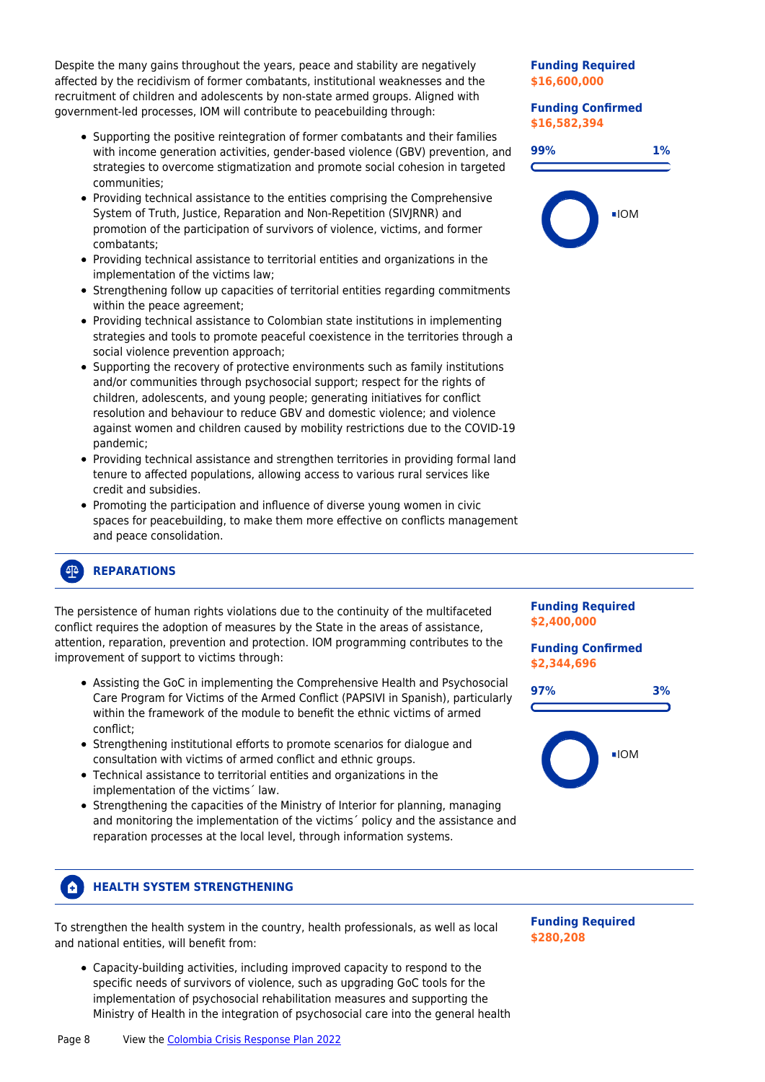Despite the many gains throughout the years, peace and stability are negatively affected by the recidivism of former combatants, institutional weaknesses and the recruitment of children and adolescents by non-state armed groups. Aligned with government-led processes, IOM will contribute to peacebuilding through:

- Supporting the positive reintegration of former combatants and their families with income generation activities, gender-based violence (GBV) prevention, and strategies to overcome stigmatization and promote social cohesion in targeted communities;
- Providing technical assistance to the entities comprising the Comprehensive System of Truth, Justice, Reparation and Non-Repetition (SIVJRNR) and promotion of the participation of survivors of violence, victims, and former combatants;
- Providing technical assistance to territorial entities and organizations in the implementation of the victims law;
- Strengthening follow up capacities of territorial entities regarding commitments within the peace agreement;
- Providing technical assistance to Colombian state institutions in implementing strategies and tools to promote peaceful coexistence in the territories through a social violence prevention approach;
- Supporting the recovery of protective environments such as family institutions and/or communities through psychosocial support; respect for the rights of children, adolescents, and young people; generating initiatives for conflict resolution and behaviour to reduce GBV and domestic violence; and violence against women and children caused by mobility restrictions due to the COVID-19 pandemic;
- Providing technical assistance and strengthen territories in providing formal land tenure to affected populations, allowing access to various rural services like credit and subsidies.
- Promoting the participation and influence of diverse young women in civic spaces for peacebuilding, to make them more effective on conflicts management and peace consolidation.

#### **Funding Required \$16,600,000**

**Funding Confirmed \$16,582,394**





#### $42$ **REPARATIONS**

The persistence of human rights violations due to the continuity of the multifaceted conflict requires the adoption of measures by the State in the areas of assistance, attention, reparation, prevention and protection. IOM programming contributes to the improvement of support to victims through:

- Assisting the GoC in implementing the Comprehensive Health and Psychosocial Care Program for Victims of the Armed Conflict (PAPSIVI in Spanish), particularly within the framework of the module to benefit the ethnic victims of armed conflict;
- Strengthening institutional efforts to promote scenarios for dialogue and consultation with victims of armed conflict and ethnic groups.
- Technical assistance to territorial entities and organizations in the implementation of the victims´ law.
- Strengthening the capacities of the Ministry of Interior for planning, managing and monitoring the implementation of the victims´ policy and the assistance and reparation processes at the local level, through information systems.

#### **HEALTH SYSTEM STRENGTHENING** A.

To strengthen the health system in the country, health professionals, as well as local and national entities, will benefit from:

Capacity-building activities, including improved capacity to respond to the specific needs of survivors of violence, such as upgrading GoC tools for the implementation of psychosocial rehabilitation measures and supporting the Ministry of Health in the integration of psychosocial care into the general health **Funding Required \$280,208**

**Funding Required \$2,400,000**

**Funding Confirmed**

**97% 3%**

 $\blacksquare$ IOM

**\$2,344,696**